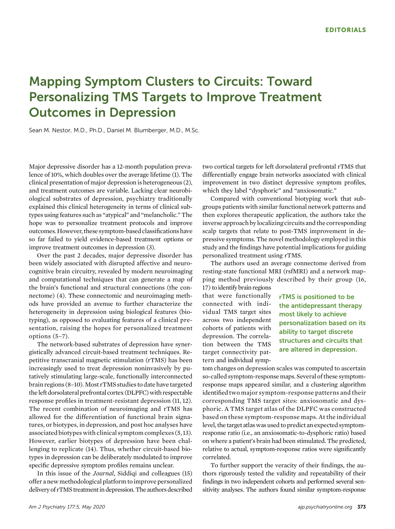## Mapping Symptom Clusters to Circuits: Toward Personalizing TMS Targets to Improve Treatment Outcomes in Depression

Sean M. Nestor, M.D., Ph.D., Daniel M. Blumberger, M.D., M.Sc.

Major depressive disorder has a 12-month population prevalence of 10%, which doubles over the average lifetime (1). The clinical presentation of major depression is heterogeneous (2), and treatment outcomes are variable. Lacking clear neurobiological substrates of depression, psychiatry traditionally explained this clinical heterogeneity in terms of clinical subtypes using features such as "atypical" and "melancholic." The hope was to personalize treatment protocols and improve outcomes.However, these symptom-based classifications have so far failed to yield evidence-based treatment options or improve treatment outcomes in depression (3).

Over the past 2 decades, major depressive disorder has been widely associated with disrupted affective and neurocognitive brain circuitry, revealed by modern neuroimaging and computational techniques that can generate a map of the brain's functional and structural connections (the connectome) (4). These connectomic and neuroimaging methods have provided an avenue to further characterize the heterogeneity in depression using biological features (biotyping), as opposed to evaluating features of a clinical presentation, raising the hopes for personalized treatment options (5–7).

The network-based substrates of depression have synergistically advanced circuit-based treatment techniques. Repetitive transcranial magnetic stimulation (rTMS) has been increasingly used to treat depression noninvasively by putatively stimulating large-scale, functionally interconnected brain regions (8-10). Most rTMS studies to date have targeted the left dorsolateral prefrontal cortex (DLPFC) with respectable response profiles in treatment-resistant depression (11, 12). The recent combination of neuroimaging and rTMS has allowed for the differentiation of functional brain signatures, or biotypes, in depression, and post hoc analyses have associated biotypes with clinical symptom complexes (5, 13). However, earlier biotypes of depression have been challenging to replicate (14). Thus, whether circuit-based biotypes in depression can be deliberately modulated to improve specific depressive symptom profiles remains unclear.

In this issue of the Journal, Siddiqi and colleagues (15) offer a new methodological platform to improve personalized delivery of rTMS treatment in depression. The authors described

two cortical targets for left dorsolateral prefrontal rTMS that differentially engage brain networks associated with clinical improvement in two distinct depressive symptom profiles, which they label "dysphoric" and "anxiosomatic."

Compared with conventional biotyping work that subgroups patients with similar functional network patterns and then explores therapeutic application, the authors take the inverse approach bylocalizing circuits and the corresponding scalp targets that relate to post-TMS improvement in depressive symptoms. The novel methodology employed in this study and the findings have potential implications for guiding personalized treatment using rTMS.

The authors used an average connectome derived from resting-state functional MRI (rsfMRI) and a network mapping method previously described by their group (16,

17) to identify brain regions that were functionally connected with individual TMS target sites across two independent cohorts of patients with depression. The correlation between the TMS target connectivity pattern and individual symp-

rTMS is positioned to be the antidepressant therapy most likely to achieve personalization based on its ability to target discrete structures and circuits that are altered in depression.

tom changes on depression scales was computed to ascertain so-called symptom-response maps. Several of these symptomresponse maps appeared similar, and a clustering algorithm identified two major symptom-response patterns and their corresponding TMS target sites: anxiosomatic and dysphoric. A TMS target atlas of the DLPFC was constructed based on these symptom-response maps. At the individual level, the target atlas was used to predict an expected symptomresponse ratio (i.e., an anxiosomatic-to-dysphoric ratio) based on where a patient's brain had been stimulated. The predicted, relative to actual, symptom-response ratios were significantly correlated.

To further support the veracity of their findings, the authors rigorously tested the validity and repeatability of their findings in two independent cohorts and performed several sensitivity analyses. The authors found similar symptom-response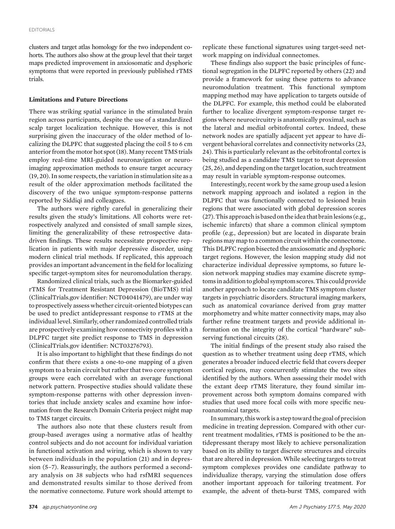clusters and target atlas homology for the two independent cohorts. The authors also show at the group level that their target maps predicted improvement in anxiosomatic and dysphoric symptoms that were reported in previously published rTMS trials.

## Limitations and Future Directions

There was striking spatial variance in the stimulated brain region across participants, despite the use of a standardized scalp target localization technique. However, this is not surprising given the inaccuracy of the older method of localizing the DLPFC that suggested placing the coil 5 to 6 cm anterior from the motor hot spot (18). Many recent TMS trials employ real-time MRI-guided neuronavigation or neuroimaging approximation methods to ensure target accuracy (19, 20). In some respects, the variation in stimulation site as a result of the older approximation methods facilitated the discovery of the two unique symptom-response patterns reported by Siddiqi and colleagues.

The authors were rightly careful in generalizing their results given the study's limitations. All cohorts were retrospectively analyzed and consisted of small sample sizes, limiting the generalizability of these retrospective datadriven findings. These results necessitate prospective replication in patients with major depressive disorder, using modern clinical trial methods. If replicated, this approach provides an important advancement in the field for localizing specific target-symptom sites for neuromodulation therapy.

Randomized clinical trials, such as the Biomarker-guided rTMS for Treatment Resistant Depression (BioTMS) trial (ClinicalTrials.gov identifier: NCT04041479), are under way to prospectively assess whether circuit-oriented biotypes can be used to predict antidepressant response to rTMS at the individual level. Similarly, other randomized controlled trials are prospectively examining how connectivity profiles with a DLPFC target site predict response to TMS in depression (ClinicalTrials.gov identifier: NCT03276793).

It is also important to highlight that these findings do not confirm that there exists a one-to-one mapping of a given symptom to a brain circuit but rather that two core symptom groups were each correlated with an average functional network pattern. Prospective studies should validate these symptom-response patterns with other depression inventories that include anxiety scales and examine how information from the Research Domain Criteria project might map to TMS target circuits.

The authors also note that these clusters result from group-based averages using a normative atlas of healthy control subjects and do not account for individual variation in functional activation and wiring, which is shown to vary between individuals in the population (21) and in depression (5–7). Reassuringly, the authors performed a secondary analysis on 38 subjects who had rsfMRI sequences and demonstrated results similar to those derived from the normative connectome. Future work should attempt to

replicate these functional signatures using target-seed network mapping on individual connectomes.

These findings also support the basic principles of functional segregation in the DLPFC reported by others (22) and provide a framework for using these patterns to advance neuromodulation treatment. This functional symptom mapping method may have application to targets outside of the DLPFC. For example, this method could be elaborated further to localize divergent symptom-response target regions where neurocircuitry is anatomically proximal, such as the lateral and medial orbitofrontal cortex. Indeed, these network nodes are spatially adjacent yet appear to have divergent behavioral correlates and connectivity networks (23, 24). This is particularly relevant as the orbitofrontal cortex is being studied as a candidate TMS target to treat depression (25, 26), and depending on the target location, such treatment may result in variable symptom-response outcomes.

Interestingly, recent work by the same group used a lesion network mapping approach and isolated a region in the DLPFC that was functionally connected to lesioned brain regions that were associated with global depression scores  $(27)$ . This approach is based on the idea that brain lesions (e.g., ischemic infarcts) that share a common clinical symptom profile (e.g., depression) but are located in disparate brain regions may map to a common circuit within the connectome. This DLPFC region bisected the anxiosomatic and dysphoric target regions. However, the lesion mapping study did not characterize individual depressive symptoms, so future lesion network mapping studies may examine discrete symptomsin addition to global symptom scores. This could provide another approach to locate candidate TMS symptom cluster targets in psychiatric disorders. Structural imaging markers, such as anatomical covariance derived from gray matter morphometry and white matter connectivity maps, may also further refine treatment targets and provide additional information on the integrity of the cortical "hardware" subserving functional circuits (28).

The initial findings of the present study also raised the question as to whether treatment using deep rTMS, which generates a broader induced electric field that covers deeper cortical regions, may concurrently stimulate the two sites identified by the authors. When assessing their model with the extant deep rTMS literature, they found similar improvement across both symptom domains compared with studies that used more focal coils with more specific neuroanatomical targets.

In summary, this workis a step toward the goal of precision medicine in treating depression. Compared with other current treatment modalities, rTMS is positioned to be the antidepressant therapy most likely to achieve personalization based on its ability to target discrete structures and circuits that are altered in depression. While selecting targets to treat symptom complexes provides one candidate pathway to individualize therapy, varying the stimulation dose offers another important approach for tailoring treatment. For example, the advent of theta-burst TMS, compared with